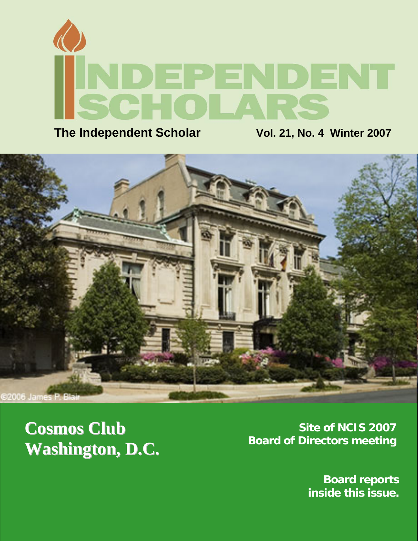

**The Independent Scholar Wol. 21, No. 4 Winter 2007** 



**Washington, D.C.** 

**Cosmos Club**<br> **Site of NCIS 2007**<br> **Board of Directors meeting** 

**Board reports inside this issue.**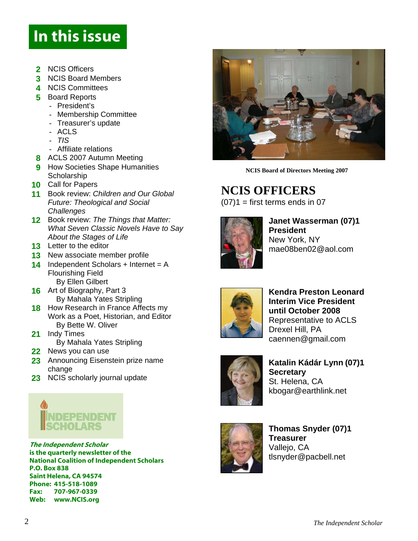### In this issue

- **2** NCIS Officers
- **3** NCIS Board Members
- **4** NCIS Committees
- **5** Board Reports
	- President's
	- Membership Committee
	- Treasurer's update
	- ACLS
	- *TIS*
	- Affiliate relations
- **8** ACLS 2007 Autumn Meeting
- **9 How Societies Shape Humanities Scholarship**
- **10** Call for Papers
- **11** Book review: *Children and Our Global Future: Theological and Social Challenges*
- **12** Book review: *The Things that Matter: What Seven Classic Novels Have to Say About the Stages of Life*
- **13** Letter to the editor
- **13** New associate member profile
- **14** Independent Scholars + Internet = A Flourishing Field
- By Ellen Gilbert **16** Art of Biography, Part 3
	- By Mahala Yates Stripling
- **18** How Research in France Affects my Work as a Poet, Historian, and Editor By Bette W. Oliver
- **21** Indy Times
	- By Mahala Yates Stripling
- **22** News you can use
- 23 Announcing Eisenstein prize name change
- **23** NCIS scholarly journal update



The Independent Scholar is the quarterly newsletter of the National Coalition of Independent Scholars P.O. Box 838 Saint Helena, CA 94574 Phone: 415-518-1089 Fax: 707-967-0339 Web: www.NCIS.org



**NCIS Board of Directors Meeting 2007** 

# **NCIS OFFICERS** (07)1 = first terms ends in 07



**Janet Wasserman (07)1 President**  New York, NY mae08ben02@aol.com



**Kendra Preston Leonard Interim Vice President until October 2008** Representative to ACLS Drexel Hill, PA [caennen@gmail.com](mailto:caennen@gmail.com)



**Katalin Kádár Lynn (07)1 Secretary** St. Helena, CA [kbogar@earthlink.net](mailto:kbogar@earthlink.net)



**Thomas Snyder (07)1 Treasurer** Vallejo, CA tlsnyder@pacbell.net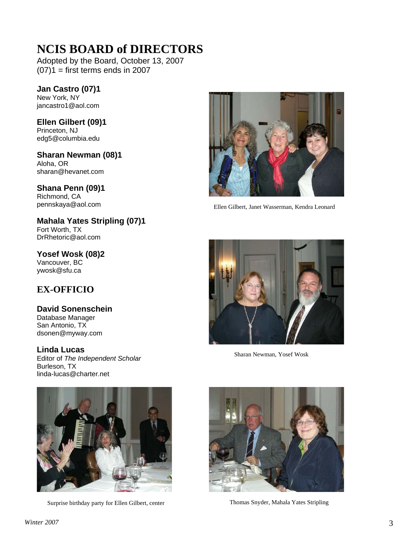### **NCIS BOARD of DIRECTORS**

Adopted by the Board, October 13, 2007  $(07)1$  = first terms ends in 2007

**Jan Castro (07)1**  New York, NY jancastro1@aol.com

**Ellen Gilbert (09)1**  Princeton, NJ edg5@columbia.edu

**Sharan Newman (08)1**  Aloha, OR sharan@hevanet.com

**Shana Penn (09)1**  Richmond, CA

**Mahala Yates Stripling (07)1** Fort Worth, TX DrRhetoric@aol.com

**Yosef Wosk (08)2** Vancouver, BC ywosk@sfu.ca

### **EX-OFFICIO**

### **David Sonenschein**

Database Manager San Antonio, TX dsonen@myway.com

**Linda Lucas**<br>
Sharan Newman, Yosef Wosk<br>
Editor of *The Independent Scholar* Burleson, TX [linda-lucas@charter.net](mailto:linda-lucas@charter.net)



Surprise birthday party for Ellen Gilbert, center Thomas Snyder, Mahala Yates Stripling



pennskaya@aol.com Ellen Gilbert, Janet Wasserman, Kendra Leonard



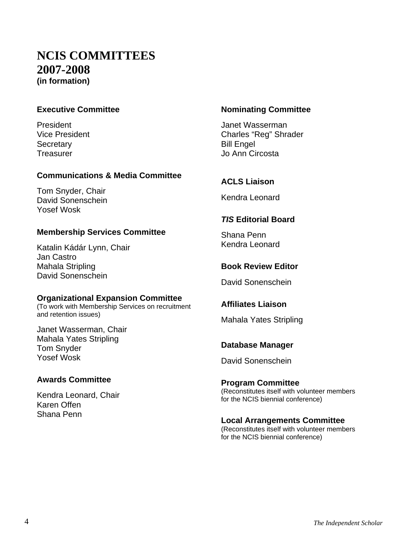### **NCIS COMMITTEES 2007-2008 (in formation)**

### **Executive Committee**

President Vice President **Secretary Treasurer** 

### **Communications & Media Committee**

Tom Snyder, Chair David Sonenschein Yosef Wosk

### **Membership Services Committee**

Katalin Kádár Lynn, Chair Jan Castro Mahala Stripling David Sonenschein

### **Organizational Expansion Committee**

(To work with Membership Services on recruitment and retention issues)

Janet Wasserman, Chair Mahala Yates Stripling Tom Snyder Yosef Wosk

### **Awards Committee**

Kendra Leonard, Chair [Ka](mailto:kmoffen@stanford.edu)ren Offen Shana Penn

### **Nominating Committee**

Janet Wasserman Charles "Reg" Shrader Bill Engel Jo Ann Circosta

### **ACLS Liaison**

Kendra Leonard

### *TIS* **Editorial Board**

Shana Penn Kendra Leonard

### **Book Review Editor**

David Sonenschein

### **Affiliates Liaison**

Mahala Yates Stripling

### **Database Manager**

David Sonenschein

#### **Program Committee**  (Reconstitutes itself with volunteer members for the NCIS biennial conference)

### **Local Arrangements Committee**

(Reconstitutes itself with volunteer members for the NCIS biennial conference)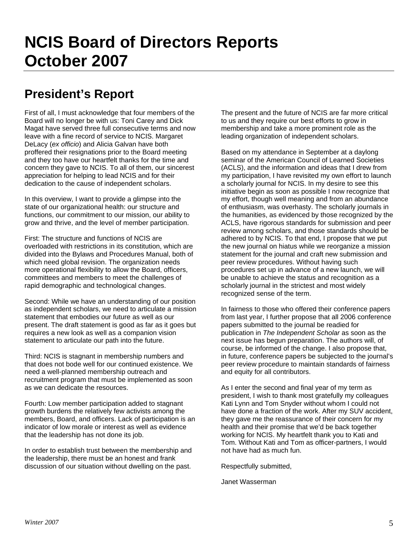### **President's Report**

First of all, I must acknowledge that four members of the Board will no longer be with us: Toni Carey and Dick Magat have served three full consecutive terms and now leave with a fine record of service to NCIS. Margaret DeLacy (*ex officio*) and Alicia Galvan have both proffered their resignations prior to the Board meeting and they too have our heartfelt thanks for the time and concern they gave to NCIS. To all of them, our sincerest appreciation for helping to lead NCIS and for their dedication to the cause of independent scholars.

In this overview, I want to provide a glimpse into the state of our organizational health: our structure and functions, our commitment to our mission, our ability to grow and thrive, and the level of member participation.

First: The structure and functions of NCIS are overloaded with restrictions in its constitution, which are divided into the Bylaws and Procedures Manual, both of which need global revision. The organization needs more operational flexibility to allow the Board, officers, committees and members to meet the challenges of rapid demographic and technological changes.

Second: While we have an understanding of our position as independent scholars, we need to articulate a mission statement that embodies our future as well as our present. The draft statement is good as far as it goes but requires a new look as well as a companion vision statement to articulate our path into the future.

Third: NCIS is stagnant in membership numbers and that does not bode well for our continued existence. We need a well-planned membership outreach and recruitment program that must be implemented as soon as we can dedicate the resources.

Fourth: Low member participation added to stagnant growth burdens the relatively few activists among the members, Board, and officers. Lack of participation is an indicator of low morale or interest as well as evidence that the leadership has not done its job.

In order to establish trust between the membership and the leadership, there must be an honest and frank discussion of our situation without dwelling on the past.

The present and the future of NCIS are far more critical to us and they require our best efforts to grow in membership and take a more prominent role as the leading organization of independent scholars.

Based on my attendance in September at a daylong seminar of the American Council of Learned Societies (ACLS), and the information and ideas that I drew from my participation, I have revisited my own effort to launch a scholarly journal for NCIS. In my desire to see this initiative begin as soon as possible I now recognize that my effort, though well meaning and from an abundance of enthusiasm, was overhasty. The scholarly journals in the humanities, as evidenced by those recognized by the ACLS, have rigorous standards for submission and peer review among scholars, and those standards should be adhered to by NCIS. To that end, I propose that we put the new journal on hiatus while we reorganize a mission statement for the journal and craft new submission and peer review procedures. Without having such procedures set up in advance of a new launch, we will be unable to achieve the status and recognition as a scholarly journal in the strictest and most widely recognized sense of the term.

In fairness to those who offered their conference papers from last year, I further propose that all 2006 conference papers submitted to the journal be readied for publication in *The Independent Scholar* as soon as the next issue has begun preparation. The authors will, of course, be informed of the change. I also propose that, in future, conference papers be subjected to the journal's peer review procedure to maintain standards of fairness and equity for all contributors.

As I enter the second and final year of my term as president, I wish to thank most gratefully my colleagues Kati Lynn and Tom Snyder without whom I could not have done a fraction of the work. After my SUV accident, they gave me the reassurance of their concern for my health and their promise that we'd be back together working for NCIS. My heartfelt thank you to Kati and Tom. Without Kati and Tom as officer-partners, I would not have had as much fun.

Respectfully submitted,

Janet Wasserman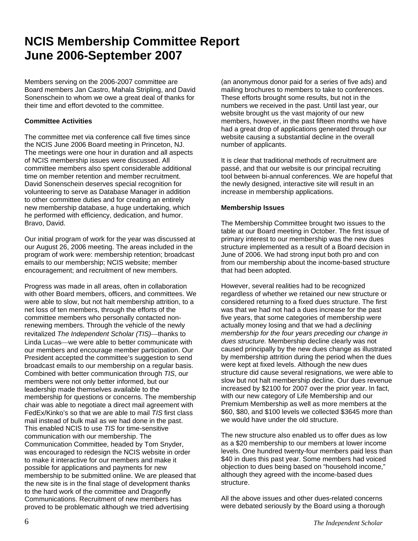### **NCIS Membership Committee Report June 2006-September 2007**

Members serving on the 2006-2007 committee are Board members Jan Castro, Mahala Stripling, and David Sonenschein to whom we owe a great deal of thanks for their time and effort devoted to the committee.

#### **Committee Activities**

The committee met via conference call five times since the NCIS June 2006 Board meeting in Princeton, NJ. The meetings were one hour in duration and all aspects of NCIS membership issues were discussed. All committee members also spent considerable additional time on member retention and member recruitment. David Sonenschein deserves special recognition for volunteering to serve as Database Manager in addition to other committee duties and for creating an entirely new membership database, a huge undertaking, which he performed with efficiency, dedication, and humor. Bravo, David.

Our initial program of work for the year was discussed at our August 26, 2006 meeting. The areas included in the program of work were: membership retention; broadcast emails to our membership; NCIS website; member encouragement; and recruitment of new members.

Progress was made in all areas, often in collaboration with other Board members, officers, and committees. We were able to slow, but not halt membership attrition, to a net loss of ten members, through the efforts of the committee members who personally contacted nonrenewing members. Through the vehicle of the newly revitalized *The Independent Scholar (TIS)*—thanks to Linda Lucas—we were able to better communicate with our members and encourage member participation. Our President accepted the committee's suggestion to send broadcast emails to our membership on a regular basis. Combined with better communication through *TIS*, our members were not only better informed, but our leadership made themselves available to the membership for questions or concerns. The membership chair was able to negotiate a direct mail agreement with FedEx/Kinko's so that we are able to mail *TIS* first class mail instead of bulk mail as we had done in the past. This enabled NCIS to use *TIS* for time-sensitive communication with our membership. The Communication Committee, headed by Tom Snyder, was encouraged to redesign the NCIS website in order to make it interactive for our members and make it possible for applications and payments for new membership to be submitted online. We are pleased that the new site is in the final stage of development thanks to the hard work of the committee and Dragonfly Communications. Recruitment of new members has proved to be problematic although we tried advertising

(an anonymous donor paid for a series of five ads) and mailing brochures to members to take to conferences. These efforts brought some results, but not in the numbers we received in the past. Until last year, our website brought us the vast majority of our new members, however, in the past fifteen months we have had a great drop of applications generated through our website causing a substantial decline in the overall number of applicants.

It is clear that traditional methods of recruitment are passé, and that our website is our principal recruiting tool between bi-annual conferences. We are hopeful that the newly designed, interactive site will result in an increase in membership applications.

#### **Membership Issues**

The Membership Committee brought two issues to the table at our Board meeting in October. The first issue of primary interest to our membership was the new dues structure implemented as a result of a Board decision in June of 2006. We had strong input both pro and con from our membership about the income-based structure that had been adopted.

However, several realities had to be recognized regardless of whether we retained our new structure or considered returning to a fixed dues structure. The first was that we had not had a dues increase for the past five years, that some categories of membership were actually money losing and that we had a *declining membership for the four years preceding our change in dues structure.* Membership decline clearly was not caused principally by the new dues change as illustrated by membership attrition during the period when the dues were kept at fixed levels. Although the new dues structure did cause several resignations, we were able to slow but not halt membership decline. Our dues revenue increased by \$2100 for 2007 over the prior year. In fact, with our new category of Life Membership and our Premium Membership as well as more members at the \$60, \$80, and \$100 levels we collected \$3645 more than we would have under the old structure.

The new structure also enabled us to offer dues as low as a \$20 membership to our members at lower income levels. One hundred twenty-four members paid less than \$40 in dues this past year. Some members had voiced objection to dues being based on "household income," although they agreed with the income-based dues structure.

All the above issues and other dues-related concerns were debated seriously by the Board using a thorough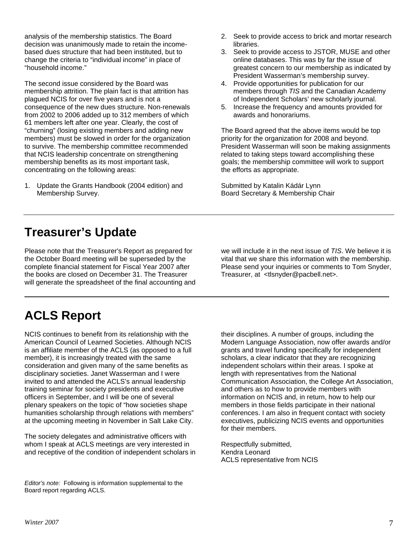analysis of the membership statistics. The Board decision was unanimously made to retain the incomebased dues structure that had been instituted, but to change the criteria to "individual income" in place of "household income."

The second issue considered by the Board was membership attrition. The plain fact is that attrition has plagued NCIS for over five years and is not a consequence of the new dues structure. Non-renewals from 2002 to 2006 added up to 312 members of which 61 members left after one year. Clearly, the cost of "churning" (losing existing members and adding new members) must be slowed in order for the organization to survive. The membership committee recommended that NCIS leadership concentrate on strengthening membership benefits as its most important task, concentrating on the following areas:

1. Update the Grants Handbook (2004 edition) and Membership Survey.

- 2. Seek to provide access to brick and mortar research libraries.
- 3. Seek to provide access to JSTOR, MUSE and other online databases. This was by far the issue of greatest concern to our membership as indicated by President Wasserman's membership survey.
- 4. Provide opportunities for publication for our members through *TIS* and the Canadian Academy of Independent Scholars' new scholarly journal.
- 5. Increase the frequency and amounts provided for awards and honorariums.

The Board agreed that the above items would be top priority for the organization for 2008 and beyond. President Wasserman will soon be making assignments related to taking steps toward accomplishing these goals; the membership committee will work to support the efforts as appropriate.

Submitted by Katalin Kádár Lynn Board Secretary & Membership Chair

### **Treasurer's Update**

Please note that the Treasurer's Report as prepared for the October Board meeting will be superseded by the complete financial statement for Fiscal Year 2007 after the books are closed on December 31. The Treasurer will generate the spreadsheet of the final accounting and

**ACLS Report**

NCIS continues to benefit from its relationship with the American Council of Learned Societies. Although NCIS is an affiliate member of the ACLS (as opposed to a full member), it is increasingly treated with the same consideration and given many of the same benefits as disciplinary societies. Janet Wasserman and I were invited to and attended the ACLS's annual leadership training seminar for society presidents and executive officers in September, and I will be one of several plenary speakers on the topic of "how societies shape humanities scholarship through relations with members" at the upcoming meeting in November in Salt Lake City.

The society delegates and administrative officers with whom I speak at ACLS meetings are very interested in and receptive of the condition of independent scholars in

*Editor's note:* Following is information supplemental to the Board report regarding ACLS.

we will include it in the next issue of *TIS*. We believe it is vital that we share this information with the membership. Please send your inquiries or comments to Tom Snyder, Treasurer, at <tlsnyder@pacbell.net>.

their disciplines. A number of groups, including the Modern Language Association, now offer awards and/or grants and travel funding specifically for independent scholars, a clear indicator that they are recognizing independent scholars within their areas. I spoke at length with representatives from the National Communication Association, the College Art Association, and others as to how to provide members with information on NCIS and, in return, how to help our members in those fields participate in their national conferences. I am also in frequent contact with society executives, publicizing NCIS events and opportunities for their members.

Respectfully submitted, Kendra Leonard ACLS representative from NCIS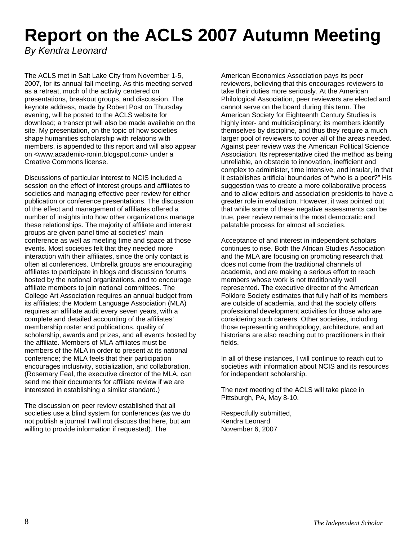## **Report on the ACLS 2007 Autumn Meeting**

*By Kendra Leonard* 

The ACLS met in Salt Lake City from November 1-5, 2007, for its annual fall meeting. As this meeting served as a retreat, much of the activity centered on presentations, breakout groups, and discussion. The keynote address, made by Robert Post on Thursday evening, will be posted to the ACLS website for download; a transcript will also be made available on the site. My presentation, on the topic of how societies shape humanities scholarship with relations with members, is appended to this report and will also appear on <[www.academic-ronin.blogspot.com](http://www.academic-ronin.blogspot.com/)> under a Creative Commons license.

Discussions of particular interest to NCIS included a session on the effect of interest groups and affiliates to societies and managing effective peer review for either publication or conference presentations. The discussion of the effect and management of affiliates offered a number of insights into how other organizations manage these relationships. The majority of affiliate and interest groups are given panel time at societies' main conference as well as meeting time and space at those events. Most societies felt that they needed more interaction with their affiliates, since the only contact is often at conferences. Umbrella groups are encouraging affiliates to participate in blogs and discussion forums hosted by the national organizations, and to encourage affiliate members to join national committees. The College Art Association requires an annual budget from its affiliates; the Modern Language Association (MLA) requires an affiliate audit every seven years, with a complete and detailed accounting of the affiliates' membership roster and publications, quality of scholarship, awards and prizes, and all events hosted by the affiliate. Members of MLA affiliates must be members of the MLA in order to present at its national conference; the MLA feels that their participation encourages inclusivity, socialization, and collaboration. (Rosemary Feal, the executive director of the MLA, can send me their documents for affiliate review if we are interested in establishing a similar standard.)

The discussion on peer review established that all societies use a blind system for conferences (as we do not publish a journal I will not discuss that here, but am willing to provide information if requested). The

American Economics Association pays its peer reviewers, believing that this encourages reviewers to take their duties more seriously. At the American Philological Association, peer reviewers are elected and cannot serve on the board during this term. The American Society for Eighteenth Century Studies is highly inter- and multidisciplinary; its members identify themselves by discipline, and thus they require a much larger pool of reviewers to cover all of the areas needed. Against peer review was the American Political Science Association. Its representative cited the method as being unreliable, an obstacle to innovation, inefficient and complex to administer, time intensive, and insular, in that it establishes artificial boundaries of "who is a peer?" His suggestion was to create a more collaborative process and to allow editors and association presidents to have a greater role in evaluation. However, it was pointed out that while some of these negative assessments can be true, peer review remains the most democratic and palatable process for almost all societies.

Acceptance of and interest in independent scholars continues to rise. Both the African Studies Association and the MLA are focusing on promoting research that does not come from the traditional channels of academia, and are making a serious effort to reach members whose work is not traditionally well represented. The executive director of the American Folklore Society estimates that fully half of its members are outside of academia, and that the society offers professional development activities for those who are considering such careers. Other societies, including those representing anthropology, architecture, and art historians are also reaching out to practitioners in their fields.

In all of these instances, I will continue to reach out to societies with information about NCIS and its resources for independent scholarship.

The next meeting of the ACLS will take place in Pittsburgh, PA, May 8-10.

Respectfully submitted, Kendra Leonard November 6, 2007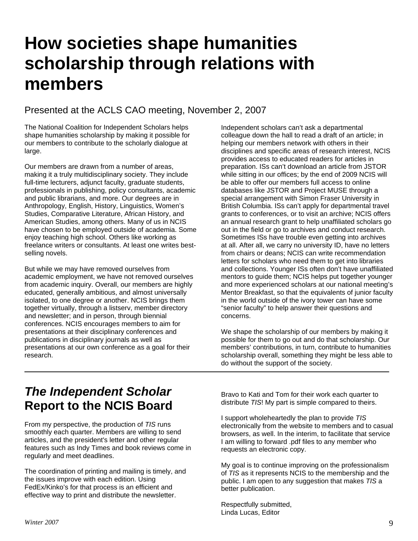## **How societies shape humanities scholarship through relations with members**

### Presented at the ACLS CAO meeting, November 2, 2007

The National Coalition for Independent Scholars helps shape humanities scholarship by making it possible for our members to contribute to the scholarly dialogue at large.

Our members are drawn from a number of areas, making it a truly multidisciplinary society. They include full-time lecturers, adjunct faculty, graduate students, professionals in publishing, policy consultants, academic and public librarians, and more. Our degrees are in Anthropology, English, History, Linguistics, Women's Studies, Comparative Literature, African History, and American Studies, among others. Many of us in NCIS have chosen to be employed outside of academia. Some enjoy teaching high school. Others like working as freelance writers or consultants. At least one writes bestselling novels.

But while we may have removed ourselves from academic employment, we have not removed ourselves from academic inquiry. Overall, our members are highly educated, generally ambitious, and almost universally isolated, to one degree or another. NCIS brings them together virtually, through a listserv, member directory and newsletter; and in person, through biennial conferences. NCIS encourages members to aim for presentations at their disciplinary conferences and publications in disciplinary journals as well as presentations at our own conference as a goal for their research.

Independent scholars can't ask a departmental colleague down the hall to read a draft of an article; in helping our members network with others in their disciplines and specific areas of research interest, NCIS provides access to educated readers for articles in preparation. ISs can't download an article from JSTOR while sitting in our offices; by the end of 2009 NCIS will be able to offer our members full access to online databases like JSTOR and Project MUSE through a special arrangement with Simon Fraser University in British Columbia. ISs can't apply for departmental travel grants to conferences, or to visit an archive; NCIS offers an annual research grant to help unaffiliated scholars go out in the field or go to archives and conduct research. Sometimes ISs have trouble even getting into archives at all. After all, we carry no university ID, have no letters from chairs or deans; NCIS can write recommendation letters for scholars who need them to get into libraries and collections. Younger ISs often don't have unaffiliated mentors to guide them; NCIS helps put together younger and more experienced scholars at our national meeting's Mentor Breakfast, so that the equivalents of junior faculty in the world outside of the ivory tower can have some "senior faculty" to help answer their questions and concerns.

We shape the scholarship of our members by making it possible for them to go out and do that scholarship. Our members' contributions, in turn, contribute to humanities scholarship overall, something they might be less able to do without the support of the society.

### *The Independent Scholar*  **Report to the NCIS Board**

From my perspective, the production of *TIS* runs smoothly each quarter. Members are willing to send articles, and the president's letter and other regular features such as Indy Times and book reviews come in regularly and meet deadlines.

The coordination of printing and mailing is timely, and the issues improve with each edition. Using FedEx/Kinko's for that process is an efficient and effective way to print and distribute the newsletter.

Bravo to Kati and Tom for their work each quarter to distribute *TIS*! My part is simple compared to theirs.

I support wholeheartedly the plan to provide *TIS* electronically from the website to members and to casual browsers, as well. In the interim, to facilitate that service I am willing to forward .pdf files to any member who requests an electronic copy.

My goal is to continue improving on the professionalism of *TIS* as it represents NCIS to the membership and the public. I am open to any suggestion that makes *TIS* a better publication.

Respectfully submitted, Linda Lucas, Editor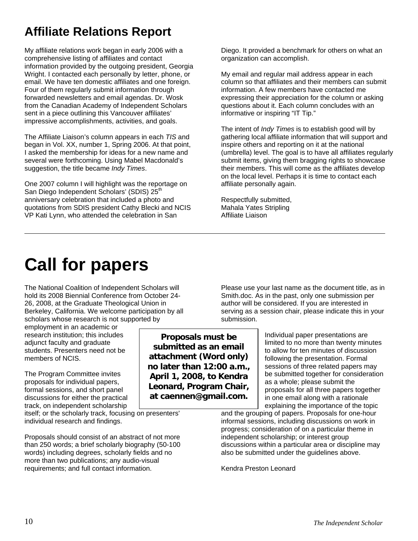### **Affiliate Relations Report**

My affiliate relations work began in early 2006 with a comprehensive listing of affiliates and contact information provided by the outgoing president, Georgia Wright. I contacted each personally by letter, phone, or email. We have ten domestic affiliates and one foreign. Four of them regularly submit information through forwarded newsletters and email agendas. Dr. Wosk from the Canadian Academy of Independent Scholars sent in a piece outlining this Vancouver affiliates' impressive accomplishments, activities, and goals.

The Affiliate Liaison's column appears in each *TIS* and began in Vol. XX, number 1, Spring 2006. At that point, I asked the membership for ideas for a new name and several were forthcoming. Using Mabel Macdonald's suggestion, the title became *Indy Times*.

One 2007 column I will highlight was the reportage on San Diego Independent Scholars' (SDIS) 25<sup>th</sup> anniversary celebration that included a photo and quotations from SDIS president Cathy Blecki and NCIS VP Kati Lynn, who attended the celebration in San

Diego. It provided a benchmark for others on what an organization can accomplish.

My email and regular mail address appear in each column so that affiliates and their members can submit information. A few members have contacted me expressing their appreciation for the column or asking questions about it. Each column concludes with an informative or inspiring "IT Tip."

The intent of *Indy Times* is to establish good will by gathering local affiliate information that will support and inspire others and reporting on it at the national (umbrella) level. The goal is to have all affiliates regularly submit items, giving them bragging rights to showcase their members. This will come as the affiliates develop on the local level. Perhaps it is time to contact each affiliate personally again.

Respectfully submitted, Mahala Yates Stripling Affiliate Liaison

## **Call for papers**

The National Coalition of Independent Scholars will hold its 2008 Biennial Conference from October 24- 26, 2008, at the Graduate Theological Union in Berkeley, California. We welcome participation by all scholars whose research is not supported by

employment in an academic or research institution; this includes adjunct faculty and graduate students. Presenters need not be members of NCIS.

The Program Committee invites proposals for individual papers, formal sessions, and short panel discussions for either the practical track, on independent scholarship

itself; or the scholarly track, focusing on presenters' individual research and findings.

Proposals should consist of an abstract of not more than 250 words; a brief scholarly biography (50-100 words) including degrees, scholarly fields and no more than two publications; any audio-visual requirements; and full contact information.

**Proposals must be submitted as an email attachment (Word only) no later than 12:00 a.m., April 1, 2008, to Kendra Leonard, Program Chair, at caennen@gmail.com.**

Please use your last name as the document title, as in Smith.doc. As in the past, only one submission per author will be considered. If you are interested in serving as a session chair, please indicate this in your submission.

> Individual paper presentations are limited to no more than twenty minutes to allow for ten minutes of discussion following the presentation. Formal sessions of three related papers may be submitted together for consideration as a whole; please submit the proposals for all three papers together in one email along with a rationale explaining the importance of the topic

and the grouping of papers. Proposals for one-hour informal sessions, including discussions on work in progress; consideration of on a particular theme in independent scholarship; or interest group discussions within a particular area or discipline may also be submitted under the guidelines above.

Kendra Preston Leonard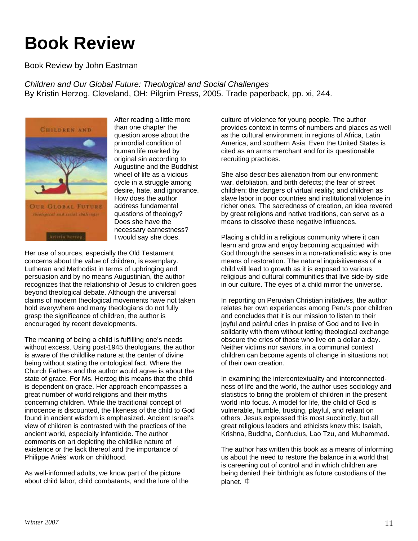## **Book Review**

Book Review by John Eastman

*Children and Our Global Future: Theological and Social Challenges*  By Kristin Herzog. Cleveland, OH: Pilgrim Press, 2005. Trade paperback, pp. xi, 244.



After reading a little more than one chapter the question arose about the primordial condition of human life marked by original sin according to Augustine and the Buddhist wheel of life as a vicious cycle in a struggle among desire, hate, and ignorance. How does the author address fundamental questions of theology? Does she have the necessary earnestness? I would say she does.

Her use of sources, especially the Old Testament concerns about the value of children, is exemplary. Lutheran and Methodist in terms of upbringing and persuasion and by no means Augustinian, the author recognizes that the relationship of Jesus to children goes beyond theological debate. Although the universal claims of modern theological movements have not taken hold everywhere and many theologians do not fully grasp the significance of children, the author is encouraged by recent developments.

The meaning of being a child is fulfilling one's needs without excess. Using post-1945 theologians, the author is aware of the childlike nature at the center of divine being without stating the ontological fact. Where the Church Fathers and the author would agree is about the state of grace. For Ms. Herzog this means that the child is dependent on grace. Her approach encompasses a great number of world religions and their myths concerning children. While the traditional concept of innocence is discounted, the likeness of the child to God found in ancient wisdom is emphasized. Ancient Israel's view of children is contrasted with the practices of the ancient world, especially infanticide. The author comments on art depicting the childlike nature of existence or the lack thereof and the importance of Philippe Ariès' work on childhood.

As well-informed adults, we know part of the picture about child labor, child combatants, and the lure of the

culture of violence for young people. The author provides context in terms of numbers and places as well as the cultural environment in regions of Africa, Latin America, and southern Asia. Even the United States is cited as an arms merchant and for its questionable recruiting practices.

She also describes alienation from our environment: war, defoliation, and birth defects; the fear of street children; the dangers of virtual reality; and children as slave labor in poor countries and institutional violence in richer ones. The sacredness of creation, an idea revered by great religions and native traditions, can serve as a means to dissolve these negative influences.

Placing a child in a religious community where it can learn and grow and enjoy becoming acquainted with God through the senses in a non-rationalistic way is one means of restoration. The natural inquisitiveness of a child will lead to growth as it is exposed to various religious and cultural communities that live side-by-side in our culture. The eyes of a child mirror the universe.

In reporting on Peruvian Christian initiatives, the author relates her own experiences among Peru's poor children and concludes that it is our mission to listen to their joyful and painful cries in praise of God and to live in solidarity with them without letting theological exchange obscure the cries of those who live on a dollar a day. Neither victims nor saviors, in a communal context children can become agents of change in situations not of their own creation.

In examining the intercontextuality and interconnectedness of life and the world, the author uses sociology and statistics to bring the problem of children in the present world into focus. A model for life, the child of God is vulnerable, humble, trusting, playful, and reliant on others. Jesus expressed this most succinctly, but all great religious leaders and ethicists knew this: Isaiah, Krishna, Buddha, Confucius, Lao Tzu, and Muhammad.

The author has written this book as a means of informing us about the need to restore the balance in a world that is careening out of control and in which children are being denied their birthright as future custodians of the planet.  $\oplus$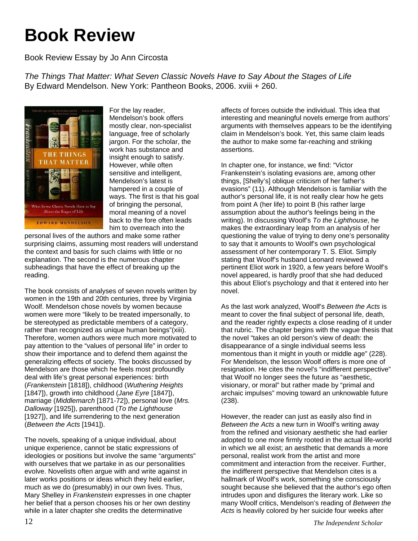## **Book Review**

Book Review Essay by Jo Ann Circosta

*The Things That Matter: What Seven Classic Novels Have to Say About the Stages of Life*  By Edward Mendelson. New York: Pantheon Books, 2006. xviii + 260.



For the lay reader, Mendelson's book offers mostly clear, non-specialist language, free of scholarly jargon. For the scholar, the work has substance and insight enough to satisfy. However, while often sensitive and intelligent, Mendelson's latest is hampered in a couple of ways. The first is that his goal of bringing the personal, moral meaning of a novel back to the fore often leads him to overreach into the

personal lives of the authors and make some rather surprising claims, assuming most readers will understand the context and basis for such claims with little or no explanation. The second is the numerous chapter subheadings that have the effect of breaking up the reading.

The book consists of analyses of seven novels written by women in the 19th and 20th centuries, three by Virginia Woolf. Mendelson chose novels by women because women were more "likely to be treated impersonally, to be stereotyped as predictable members of a category, rather than recognized as unique human beings"(xiii). Therefore, women authors were much more motivated to pay attention to the "values of personal life" in order to show their importance and to defend them against the generalizing effects of society. The books discussed by Mendelson are those which he feels most profoundly deal with life's great personal experiences: birth (*Frankenstein* [1818]), childhood (*Wuthering Heights* [1847]), growth into childhood (*Jane Eyre* [1847]), marriage (*Middlemarch* [1871-72]), personal love (*Mrs. Dalloway* [1925]), parenthood (*To the Lighthouse* [1927]), and life surrendering to the next generation (*Between the Acts* [1941]).

The novels, speaking of a unique individual, about unique experience, cannot be static expressions of ideologies or positions but involve the same "arguments" with ourselves that we partake in as our personalities evolve. Novelists often argue with and write against in later works positions or ideas which they held earlier, much as we do (presumably) in our own lives. Thus, Mary Shelley in *Frankenstein* expresses in one chapter her belief that a person chooses his or her own destiny while in a later chapter she credits the determinative

affects of forces outside the individual. This idea that interesting and meaningful novels emerge from authors' arguments with themselves appears to be the identifying claim in Mendelson's book. Yet, this same claim leads the author to make some far-reaching and striking assertions.

In chapter one, for instance, we find: "Victor Frankenstein's isolating evasions are, among other things, [Shelly's] oblique criticism of her father's evasions" (11). Although Mendelson is familiar with the author's personal life, it is not really clear how he gets from point A (her life) to point B (his rather large assumption about the author's feelings being in the writing). In discussing Woolf's *To the Lighthouse*, he makes the extraordinary leap from an analysis of her questioning the value of trying to deny one's personality to say that it amounts to Woolf's own psychological assessment of her contemporary T. S. Eliot. Simply stating that Woolf's husband Leonard reviewed a pertinent Eliot work in 1920, a few years before Woolf's novel appeared, is hardly proof that she had deduced this about Eliot's psychology and that it entered into her novel.

As the last work analyzed, Woolf's *Between the Acts* is meant to cover the final subject of personal life, death, and the reader rightly expects a close reading of it under that rubric. The chapter begins with the vague thesis that the novel "takes an old person's view of death: the disappearance of a single individual seems less momentous than it might in youth or middle age" (228). For Mendelson, the lesson Woolf offers is more one of resignation. He cites the novel's "indifferent perspective" that Woolf no longer sees the future as "aesthetic, visionary, or moral" but rather made by "primal and archaic impulses" moving toward an unknowable future (238).

However, the reader can just as easily also find in *Between the Acts* a new turn in Woolf's writing away from the refined and visionary aesthetic she had earlier adopted to one more firmly rooted in the actual life-world in which we all exist; an aesthetic that demands a more personal, realist work from the artist and more commitment and interaction from the receiver. Further, the indifferent perspective that Mendelson cites is a hallmark of Woolf's work, something she consciously sought because she believed that the author's ego often intrudes upon and disfigures the literary work. Like so many Woolf critics, Mendelson's reading of *Between the Acts* is heavily colored by her suicide four weeks after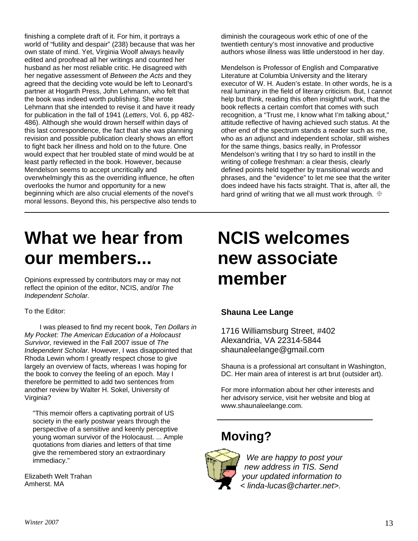finishing a complete draft of it. For him, it portrays a world of "futility and despair" (238) because that was her own state of mind. Yet, Virginia Woolf always heavily edited and proofread all her writings and counted her husband as her most reliable critic. He disagreed with her negative assessment of *Between the Acts* and they agreed that the deciding vote would be left to Leonard's partner at Hogarth Press, John Lehmann, who felt that the book was indeed worth publishing. She wrote Lehmann that she intended to revise it and have it ready for publication in the fall of 1941 (*Letters*, Vol. 6, pp 482- 486). Although she would drown herself within days of this last correspondence, the fact that she was planning revision and possible publication clearly shows an effort to fight back her illness and hold on to the future. One would expect that her troubled state of mind would be at least partly reflected in the book. However, because Mendelson seems to accept uncritically and overwhelmingly this as the overriding influence, he often overlooks the humor and opportunity for a new beginning which are also crucial elements of the novel's moral lessons. Beyond this, his perspective also tends to diminish the courageous work ethic of one of the twentieth century's most innovative and productive authors whose illness was little understood in her day.

Mendelson is Professor of English and Comparative Literature at Columbia University and the literary executor of W. H. Auden's estate. In other words, he is a real luminary in the field of literary criticism. But, I cannot help but think, reading this often insightful work, that the book reflects a certain comfort that comes with such recognition, a "Trust me, I know what I'm talking about," attitude reflective of having achieved such status. At the other end of the spectrum stands a reader such as me, who as an adjunct and independent scholar, still wishes for the same things, basics really, in Professor Mendelson's writing that I try so hard to instill in the writing of college freshman: a clear thesis, clearly defined points held together by transitional words and phrases, and the "evidence" to let me see that the writer does indeed have his facts straight. That is, after all, the hard grind of writing that we all must work through.  $\oplus$ 

## **What we hear from our members...**

Opinions expressed by contributors may or may not reflect the opinion of the editor, NCIS, and/or *The Independent Scholar.* 

#### To the Editor:

 I was pleased to find my recent book, *Ten Dollars in My Pocket: The American Education of a Holocaust Survivor,* reviewed in the Fall 2007 issue of *The Independent Scholar.* However, I was disappointed that Rhoda Lewin whom I greatly respect chose to give largely an overview of facts, whereas I was hoping for the book to convey the feeling of an epoch. May I therefore be permitted to add two sentences from another review by Walter H. Sokel, University of Virginia?

"This memoir offers a captivating portrait of US society in the early postwar years through the perspective of a sensitive and keenly perceptive young woman survivor of the Holocaust. ... Ample quotations from diaries and letters of that time give the remembered story an extraordinary immediacy."

Elizabeth Welt Trahan Amherst. MA

## **NCIS welcomes new associate member**

### **Shauna Lee Lange**

1716 Williamsburg Street, #402 Alexandria, VA 22314-5844 [shaunaleelange@gmail.com](mailto:shaunaleelange@gmail.com)

Shauna is a professional art consultant in Washington, DC. Her main area of interest is art brut (outsider art).

For more information about her other interests and her advisory service, visit her website and blog at www.shaunaleelange.com.

### **Moving?**



*We are happy to post your new address in TIS. Send your updated information to < linda-lucas@charter.net>.*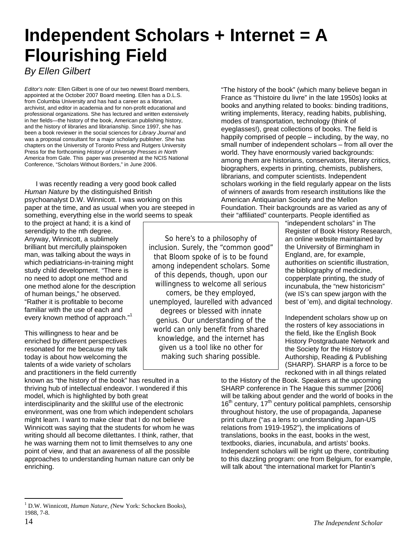## **Independent Scholars + Internet = A Flourishing Field**

*By Ellen Gilbert* 

*Editor's note:* Ellen Gilbert is one of our two newest Board members, appointed at the October 2007 Board meeting. Ellen has a D.L.S. from Columbia University and has had a career as a librarian, archivist, and editor in academia and for non-profit educational and professional organizations. She has lectured and written extensively in her fields—the history of the book, American publishing history, and the history of libraries and librarianship. Since 1997, she has been a book reviewer in the social sciences for *Library Journal* and was a proposal consultant for a major scholarly publisher. She has chapters on the University of Toronto Press and Rutgers University Press for the forthcoming *History of University Presses in North America* from Gale. This paper was presented at the NCIS National Conference, "Scholars Without Borders," in June 2006.

 I was recently reading a very good book called *Human Nature* by the distinguished British psychoanalyst D.W. Winnicott. I was working on this paper at the time, and as usual when you are steeped in something, everything else in the world seems to speak

to the project at hand; it is a kind of serendipity to the nth degree. Anyway, Winnicott, a sublimely brilliant but mercifully plainspoken man, was talking about the ways in which pediatricians-in-training might study child development. "There is no need to adopt one method and one method alone for the description of human beings," he observed. "Rather it is profitable to become familiar with the use of each and every known method of approach."[1](#page-13-0)

This willingness to hear and be enriched by different perspectives resonated for me because my talk today is about how welcoming the talents of a wide variety of scholars and practitioners in the field currently

known as "the history of the book" has resulted in a thriving hub of intellectual endeavor. I wondered if this model, which is highlighted by both great interdisciplinarity and the skillful use of the electronic environment, was one from which independent scholars might learn. I want to make clear that I do not believe Winnicott was saying that the students for whom he was writing should all become dilettantes. I think, rather, that he was warning them not to limit themselves to any one point of view, and that an awareness of all the possible approaches to understanding human nature can only be enriching.

"The history of the book" (which many believe began in France as "l'histoire du livre" in the late 1950s) looks at books and anything related to books: binding traditions, writing implements, literacy, reading habits, publishing, modes of transportation, technology (think of eyeglasses!), great collections of books. The field is happily comprised of people – including, by the way, no small number of independent scholars – from all over the world. They have enormously varied backgrounds: among them are historians, conservators, literary critics, biographers, experts in printing, chemists, publishers, librarians, and computer scientists. Independent scholars working in the field regularly appear on the lists of winners of awards from research institutions like the American Antiquarian Society and the Mellon Foundation. Their backgrounds are as varied as any of their "affiliated" counterparts. People identified as

So here's to a philosophy of inclusion. Surely, the "common good" that Bloom spoke of is to be found among independent scholars. Some of this depends, though, upon our willingness to welcome all serious comers, be they employed, unemployed, laurelled with advanced degrees or blessed with innate genius. Our understanding of the world can only benefit from shared knowledge, and the internet has given us a tool like no other for making such sharing possible.

"independent scholars" in The Register of Book History Research, an online website maintained by the University of Birmingham in England, are, for example, authorities on scientific illustration, the bibliography of medicine, copperplate printing, the study of incunabula, the "new historicism" (we IS's can spew jargon with the best of 'em), and digital technology.

Independent scholars show up on the rosters of key associations in the field, like the English Book History Postgraduate Network and the Society for the History of Authorship, Reading & Publishing (SHARP). SHARP is a force to be reckoned with in all things related

to the History of the Book. Speakers at the upcoming SHARP conference in The Hague this summer [2006] will be talking about gender and the world of books in the  $16<sup>th</sup>$  century, 17<sup>th</sup> century political pamphlets, censorship throughout history, the use of propaganda, Japanese print culture ("as a lens to understanding Japan-US relations from 1919-1952"), the implications of translations, books in the east, books in the west, textbooks, diaries, incunabula, and artists' books. Independent scholars will be right up there, contributing to this dazzling program: one from Belgium, for example, will talk about "the international market for Plantin's

<span id="page-13-0"></span> $\overline{a}$ 1 D.W. Winnicott, *Human Nature*, *(*New York: Schocken Books), 1988, 7-8.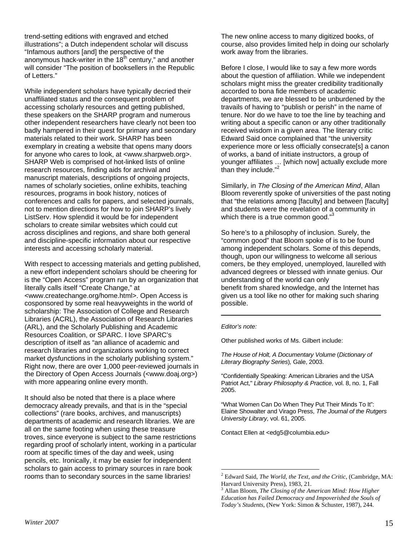trend-setting editions with engraved and etched illustrations"; a Dutch independent scholar will discuss "Infamous authors [and] the perspective of the anonymous hack-writer in the  $18<sup>th</sup>$  century," and another will consider "The position of booksellers in the Republic of Letters."

While independent scholars have typically decried their unaffiliated status and the consequent problem of accessing scholarly resources and getting published, these speakers on the SHARP program and numerous other independent researchers have clearly not been too badly hampered in their quest for primary and secondary materials related to their work. SHARP has been exemplary in creating a website that opens many doors for anyone who cares to look, at <www.sharpweb.org>. SHARP Web is comprised of hot-linked lists of online research resources, finding aids for archival and manuscript materials, descriptions of ongoing projects, names of scholarly societies, online exhibits, teaching resources, programs in book history, notices of conferences and calls for papers, and selected journals, not to mention directions for how to join SHARP's lively ListServ. How splendid it would be for independent scholars to create similar websites which could cut across disciplines and regions, and share both general and discipline-specific information about our respective interests and accessing scholarly material.

With respect to accessing materials and getting published, a new effort independent scholars should be cheering for is the "Open Access" program run by an organization that literally calls itself "Create Change," at <www.createchange.org/home.html>. Open Access is cosponsored by some real heavyweights in the world of scholarship: The Association of College and Research Libraries (ACRL), the Association of Research Libraries (ARL), and the Scholarly Publishing and Academic Resources Coalition, or SPARC. I love SPARC's description of itself as "an alliance of academic and research libraries and organizations working to correct market dysfunctions in the scholarly publishing system." Right now, there are over 1,000 peer-reviewed journals in the Directory of Open Access Journals (<www.doaj.org>) with more appearing online every month.

It should also be noted that there is a place where democracy already prevails, and that is in the "special collections" (rare books, archives, and manuscripts) departments of academic and research libraries. We are all on the same footing when using these treasure troves, since everyone is subject to the same restrictions regarding proof of scholarly intent, working in a particular room at specific times of the day and week, using pencils, etc. Ironically, it may be easier for independent scholars to gain access to primary sources in rare book rooms than to secondary sources in the same libraries!

The new online access to many digitized books, of course, also provides limited help in doing our scholarly work away from the libraries.

Before I close, I would like to say a few more words about the question of affiliation. While we independent scholars might miss the greater credibility traditionally accorded to bona fide members of academic departments, we are blessed to be unburdened by the travails of having to "publish or perish" in the name of tenure. Nor do we have to toe the line by teaching and writing about a specific canon or any other traditionally received wisdom in a given area. The literary critic Edward Said once complained that "the university experience more or less officially consecrate[s] a canon of works, a band of initiate instructors, a group of younger affiliates … [which now] actually exclude more than they include."<sup>[2](#page-14-0)</sup>

Similarly, in *The Closing of the American Mind*, Allan Bloom reverently spoke of universities of the past noting that "the relations among [faculty] and between [faculty] and students were the revelation of a community in which there is a true common good. $3<sup>3</sup>$  $3<sup>3</sup>$ 

So here's to a philosophy of inclusion. Surely, the "common good" that Bloom spoke of is to be found among independent scholars. Some of this depends, though, upon our willingness to welcome all serious comers, be they employed, unemployed, laurelled with advanced degrees or blessed with innate genius. Our understanding of the world can only benefit from shared knowledge, and the Internet has given us a tool like no other for making such sharing possible.

#### *Editor's note:*

 $\overline{a}$ 

Other published works of Ms. Gilbert include:

*The House of Holt, A Documentary Volume* (*Dictionary of Literary Biography Series*)*,* Gale, 2003.

"Confidentially Speaking: American Libraries and the USA Patriot Act," *Library Philosophy & Practice*, vol. 8, no. 1, Fall 2005.

"What Women Can Do When They Put Their Minds To It": Elaine Showalter and Virago Press, *The Journal of the Rutgers University Library,* vol. 61, 2005.

Contact Ellen at <edg5@columbia.edu>

<span id="page-14-0"></span><sup>2</sup> Edward Said, *The World, the Text, and the Critic*, (Cambridge, MA: Harvard University Press), 1983, 21. 3

<span id="page-14-1"></span>Allan Bloom, *The Closing of the American Mind: How Higher Education has Failed Democracy and Impoverished the Souls of Today's Students*, (New York: Simon & Schuster, 1987), 244.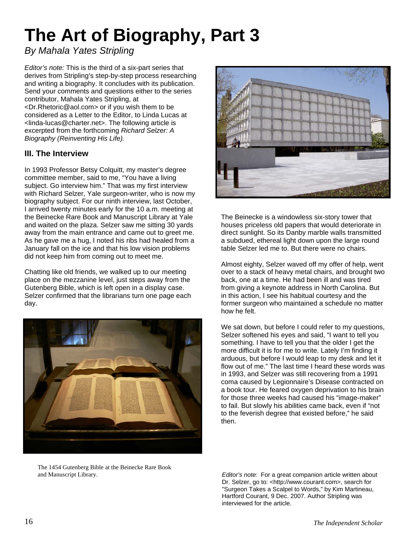## **The Art of Biography, Part 3**

### *By Mahala Yates Stripling*

*Editor's note:* This is the third of a six-part series that derives from Stripling's step-by-step process researching and writing a biography. It concludes with its publication. Send your comments and questions either to the series contributor, Mahala Yates Stripling, at <Dr.Rhetoric@aol.com> or if you wish them to be considered as a Letter to the Editor, to Linda Lucas at <linda-lucas@charter.net>. The following article is excerpted from the forthcoming *Richard Selzer: A Biography (Reinventing His Life).* 

### **III. The Interview**

In 1993 Professor Betsy Colquitt, my master's degree committee member, said to me, "You have a living subject. Go interview him." That was my first interview with Richard Selzer, Yale surgeon-writer, who is now my biography subject. For our ninth interview, last October, I arrived twenty minutes early for the 10 a.m. meeting at the Beinecke Rare Book and Manuscript Library at Yale and waited on the plaza. Selzer saw me sitting 30 yards away from the main entrance and came out to greet me. As he gave me a hug, I noted his ribs had healed from a January fall on the ice and that his low vision problems did not keep him from coming out to meet me.

Chatting like old friends, we walked up to our meeting place on the mezzanine level, just steps away from the Gutenberg Bible, which is left open in a display case. Selzer confirmed that the librarians turn one page each day.



The 1454 Gutenberg Bible at the Beinecke Rare Book



The Beinecke is a windowless six-story tower that houses priceless old papers that would deteriorate in direct sunlight. So its Danby marble walls transmitted a subdued, ethereal light down upon the large round table Selzer led me to. But there were no chairs.

Almost eighty, Selzer waved off my offer of help, went over to a stack of heavy metal chairs, and brought two back, one at a time. He had been ill and was tired from giving a keynote address in North Carolina. But in this action, I see his habitual courtesy and the former surgeon who maintained a schedule no matter how he felt.

We sat down, but before I could refer to my questions, Selzer softened his eyes and said, "I want to tell you something. I have to tell you that the older I get the more difficult it is for me to write. Lately I'm finding it arduous, but before I would leap to my desk and let it flow out of me." The last time I heard these words was in 1993, and Selzer was still recovering from a 1991 coma caused by Legionnaire's Disease contracted on a book tour. He feared oxygen deprivation to his brain for those three weeks had caused his "image-maker" to fail. But slowly his abilities came back, even if "not to the feverish degree that existed before," he said then.

and Manuscript Library. *Editor's note:* For a great companion article written about Dr. Selzer, go to: <http://www.courant.com>, search for "Surgeon Takes a Scalpel to Words," by Kim Martineau, Hartford Courant, 9 Dec. 2007. Author Stripling was interviewed for the article.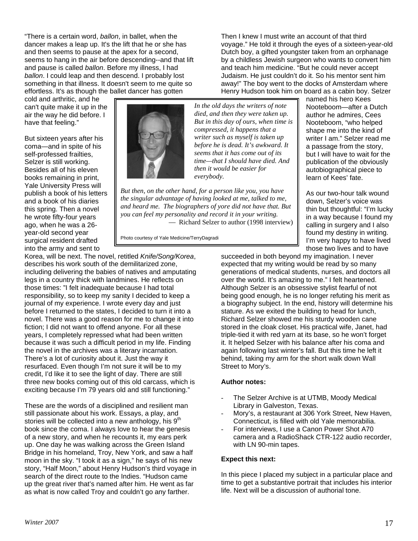"There is a certain word, *ballon*, in ballet, when the dancer makes a leap up. It's the lift that he or she has and then seems to pause at the apex for a second, seems to hang in the air before descending--and that lift and pause is called *ballon*. Before my illness, I had *ballon*. I could leap and then descend. I probably lost something in that illness. It doesn't seem to me quite so effortless. It's as though the ballet dancer has gotten

cold and arthritic, and he can't quite make it up in the air the way he did before. I have that feeling."

But sixteen years after his coma—and in spite of his self-professed frailties, Selzer is still working. Besides all of his eleven books remaining in print, Yale University Press will publish a book of his letters and a book of his diaries this spring. Then a novel he wrote fifty-four years ago, when he was a 26 year-old second year surgical resident drafted into the army and sent to



*In the old days the writers of note died, and then they were taken up. But in this day of ours, when time is compressed, it happens that a writer such as myself is taken up before he is dead. It's awkward. It seems that it has come out of its time—that I should have died. And then it would be easier for everybody.* 

*But then, on the other hand, for a person like you, you have the singular advantage of having looked at me, talked to me, and heard me. The biographers of yore did not have that. But you can feel my personality and record it in your writing.*  — Richard Selzer to author (1998 interview)

Photo courtesy of Yale Medicine/TerryDagradi

Korea, will be next. The novel, retitled *Knife/Song/Korea*, describes his work south of the demilitarized zone, including delivering the babies of natives and amputating legs in a country thick with landmines. He reflects on those times: "I felt inadequate because I had total responsibility, so to keep my sanity I decided to keep a journal of my experience. I wrote every day and just before I returned to the states, I decided to turn it into a novel. There was a good reason for me to change it into fiction; I did not want to offend anyone. For all these years, I completely repressed what had been written because it was such a difficult period in my life. Finding the novel in the archives was a literary incarnation. There's a lot of curiosity about it. Just the way it resurfaced. Even though I'm not sure it will be to my credit, I'd like it to see the light of day. There are still three new books coming out of this old carcass, which is exciting because I'm 79 years old and still functioning."

These are the words of a disciplined and resilient man still passionate about his work. Essays, a play, and stories will be collected into a new anthology, his 9<sup>th</sup> book since the coma. I always love to hear the genesis of a new story, and when he recounts it, my ears perk up. One day he was walking across the Green Island Bridge in his homeland, Troy, New York, and saw a half moon in the sky. "I took it as a sign," he says of his new story, "Half Moon," about Henry Hudson's third voyage in search of the direct route to the Indies. "Hudson came up the great river that's named after him. He went as far as what is now called Troy and couldn't go any farther.

Judaism. He just couldn't do it. So his mentor sent him away!" The boy went to the docks of Amsterdam where Henry Hudson took him on board as a cabin boy. Selzer named his hero Kees Nooteboom—after a Dutch author he admires, Cees Nooteboom, "who helped shape me into the kind of writer I am." Selzer read me a passage from the story, but I will have to wait for the publication of the obviously autobiographical piece to

learn of Kees' fate.

Then I knew I must write an account of that third

voyage." He told it through the eyes of a sixteen-year-old Dutch boy, a gifted youngster taken from an orphanage by a childless Jewish surgeon who wants to convert him and teach him medicine. "But he could never accept

> As our two-hour talk wound down, Selzer's voice was thin but thoughtful: "I'm lucky in a way because I found my calling in surgery and I also found my destiny in writing. I'm very happy to have lived those two lives and to have

succeeded in both beyond my imagination. I never expected that my writing would be read by so many generations of medical students, nurses, and doctors all over the world. It's amazing to me." I felt heartened. Although Selzer is an obsessive stylist fearful of not being good enough, he is no longer refuting his merit as a biography subject. In the end, history will determine his stature. As we exited the building to head for lunch, Richard Selzer showed me his sturdy wooden cane stored in the cloak closet. His practical wife, Janet, had triple-tied it with red yarn at its base, so he won't forget it. It helped Selzer with his balance after his coma and again following last winter's fall. But this time he left it behind, taking my arm for the short walk down Wall Street to Mory's.

#### **Author notes:**

- The Selzer Archive is at UTMB, Moody Medical Library in Galveston, Texas.
- Mory's, a restaurant at 306 York Street, New Haven, Connecticut, is filled with old Yale memorabilia.
- For interviews, I use a Canon Power Shot A70 camera and a RadioShack CTR-122 audio recorder, with LN 90-min tapes.

#### **Expect this next:**

In this piece I placed my subject in a particular place and time to get a substantive portrait that includes his interior life. Next will be a discussion of authorial tone.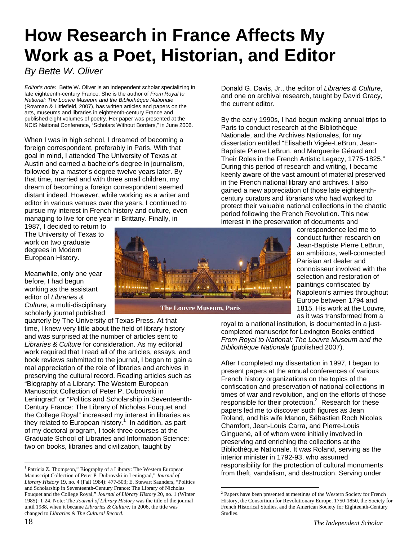## **How Research in France Affects My Work as a Poet, Historian, and Editor**

*By Bette W. Oliver* 

*Editor's note:* Bette W. Oliver is an independent scholar specializing in late eighteenth-century France. She is the author of *From Royal to National: The Louvre Museum and the Bibliothèque Nationale* (Rowman & Littlefield, 2007), has written articles and papers on the arts, museums and libraries in eighteenth-century France and published eight volumes of poetry. Her paper was presented at the NCIS National Conference, "Scholars Without Borders," in June 2006.

When I was in high school, I dreamed of becoming a foreign correspondent, preferably in Paris. With that goal in mind, I attended The University of Texas at Austin and earned a bachelor's degree in journalism, followed by a master's degree twelve years later. By that time, married and with three small children, my dream of becoming a foreign correspondent seemed distant indeed. However, while working as a writer and editor in various venues over the years, I continued to pursue my interest in French history and culture, even managing to live for one year in Brittany. Finally, in

1987, I decided to return to The University of Texas to work on two graduate degrees in Modern European History.

Meanwhile, only one year before, I had begun working as the assistant editor of *Libraries & Culture*, a multi-disciplinary scholarly journal published

quarterly by The University of Texas Press. At that time, I knew very little about the field of library history and was surprised at the number of articles sent to *Libraries & Culture* for consideration. As my editorial work required that I read all of the articles, essays, and book reviews submitted to the journal, I began to gain a real appreciation of the role of libraries and archives in preserving the cultural record. Reading articles such as "Biography of a Library: The Western European Manuscript Collection of Peter P. Dubrovski in Leningrad" or "Politics and Scholarship in Seventeenth-Century France: The Library of Nicholas Fouquet and the College Royal" increased my interest in libraries as they related to European history.<sup>[1](#page-17-0)</sup> In addition, as part of my doctoral program, I took three courses at the Graduate School of Libraries and Information Science: two on books, libraries and civilization, taught by

<span id="page-17-0"></span><sup>1</sup> Patricia Z. Thompson," Biography of a Library: The Western European Manuscript Collection of Peter P. Dubrovski in Leningrad," *Journal of Library History* 19, no. 4 (Fall 1984): 477-503; E. Stewart Saunders, "Politics and Scholarship in Seventeenth-Century France: The Library of Nicholas Fouquet and the College Royal," *Journal of Library History* 20, no. 1 (Winter 1985): 1-24. Note: The *Journal of Library History* was the title of the journal until 1988, when it became *Libraries & Culture;* in 2006, the title was changed to *Libraries & The Cultural Record*.

the current editor.

correspondence led me to conduct further research on Jean-Baptiste Pierre LeBrun, an ambitious, well-connected Parisian art dealer and connoisseur involved with the selection and restoration of paintings confiscated by Napoleon's armies throughout Europe between 1794 and 1815. His work at the Louvre, as it was transformed from a

royal to a national institution, is documented in a justcompleted manuscript for Lexington Books entitled *From Royal to National: The Louvre Museum and the Bibliothèque Nationale* (published 2007).

Donald G. Davis, Jr., the editor of *Libraries & Culture*, and one on archival research, taught by David Gracy,

By the early 1990s, I had begun making annual trips to

Paris to conduct research at the Bibliothèque Nationale, and the Archives Nationales, for my dissertation entitled "Elisabeth Vigée-LeBrun, Jean-Baptiste Pierre LeBrun, and Marguerite Gérard and Their Roles in the French Artistic Legacy, 1775-1825." During this period of research and writing, I became keenly aware of the vast amount of material preserved in the French national library and archives. I also gained a new appreciation of those late eighteenthcentury curators and librarians who had worked to

After I completed my dissertation in 1997, I began to present papers at the annual conferences of various French history organizations on the topics of the confiscation and preservation of national collections in times of war and revolution, and on the efforts of those responsible for their protection. $2$  Research for these papers led me to discover such figures as Jean Roland, and his wife Manon, Sébastien Roch Nicolas Chamfort, Jean-Louis Carra, and Pierre-Louis Ginguené, all of whom were initially involved in preserving and enriching the collections at the Bibliothèque Nationale. It was Roland, serving as the interior minister in 1792-93, who assumed responsibility for the protection of cultural monuments from theft, vandalism, and destruction. Serving under



**The Louvre Museum, Paris**

 $\overline{a}$ 

 $\overline{a}$ 

protect their valuable national collections in the chaotic period following the French Revolution. This new interest in the preservation of documents and

<span id="page-17-1"></span><sup>&</sup>lt;sup>2</sup> Papers have been presented at meetings of the Western Society for French History, the Consortium for Revolutionary Europe, 1750-1850, the Society for French Historical Studies, and the American Society for Eighteenth-Century **Studies**.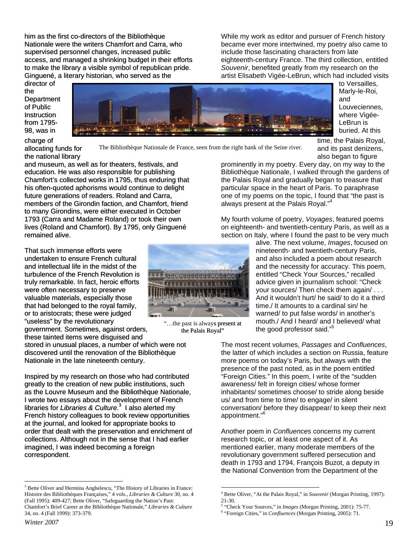him as the first co-directors of the Bibliothèque Nationale were the writers Chamfort and Carra, who supervised personnel changes, increased public access, and managed a shrinking budget in their efforts to make the library a visible symbol of republican pride. Ginguené, a literary historian, who served as the

While my work as editor and pursuer of French history became ever more intertwined, my poetry also came to include those fascinating characters from late eighteenth-century France. The third collection, entitled *Souvenir*, benefited greatly from my research on the artist Elisabeth Vigée-LeBrun, which had included visits

Department director of the of Public **Instruction** from 1795- 98, was in



, to Versailles - where Vigée Marly-le-Roi, and Louveciennes, LeBrun is buried. At this

charge of

allocating funds for the national library

The Bibliothèque Nationale de France, seen from the right bank of the Seine river.

Chamfort's collected works in 1795, thus enduring that lives (Roland and Chamfort). By 1795, only Ginguené remained alive. and museum, as well as for theaters, festivals, and education. He was also responsible for publishing his often-quoted aphorisms would continue to delight future generations of readers. Roland and Carra, members of the Girondin faction, and Chamfort, friend to many Girondins, were either executed in October 1793 (Carra and Madame Roland) or took their own

truly remarkable. In fact, heroic efforts , that had belonged to the royal family or to aristocrats; these were judged That such immense efforts were undertaken to ensure French cultural and intellectual life in the midst of the turbulence of the French Revolution is were often necessary to preserve valuable materials, especially those "useless" by the revolutionary government. Sometimes, against orders, these tainted items were disguised and

stored in unusual places, a number of which were not discovered until the renovation of the Bibliothèque Nationale in the late nineteenth century.

as the Louvre Museum and the Bibliothèque Nationale, I wrote two essays about the development of French French history colleagues to book review opportunities collections. Although not in the sense that I had earlier imagined, I was indeed becoming a foreign correspondent. Inspired by my research on those who had contributed greatly to the creation of new public institutions, such libraries for *Libraries & Culture*. [3](#page-18-0) I also alerted my at the journal, and looked for appropriate books to order that dealt with the preservation and enrichment of



"...the past is always present at the Palais Royal"

, and its past denizens time, the Palais Royal, also began to figure prominently in my poetry. Every day, on my way to the

t the Palais Royal and gradually began to treasure tha particular space in the heart of Paris. To paraphrase one of my poems on the topic, I found that "the past is Bibliothèque Nationale, I walked through the gardens of always present at the Palais Royal."[4](#page-18-1)

section on Italy, where I found the past to be very much My fourth volume of poetry, *Voyages*, featured poems on eighteenth- and twentieth-century Paris, as well as a

> alive. The next volume, *Images*, focused on and also included a poem about research and the necessity for accuracy. This poem, warned/ to put false words/ in another's mouth./ And I heard/ and I believed/ what nineteenth- and twentieth-century Paris, entitled "Check Your Sources," recalled advice given in journalism school: "Check your sources/ Then check them again/ . . . And it wouldn't hurt/ he said/ to do it a third time./ It amounts to a cardinal sin/ he the good professor said."<sup>[5](#page-18-2)</sup>

The most recent volumes, Passages and *Confluences*, the latter of which includes a section on Russia, feature us/ and from time to time/ to engage/ in silent onversation/ before they disappear/ to keep their next c more poems on today's Paris, but always with the presence of the past noted, as in the poem entitled "Foreign Cities." In this poem, I write of the "sudden awareness/ felt in foreign cities/ whose former inhabitants/ sometimes choose/ to stride along beside appointment."<sup>[6](#page-18-3)</sup>

the National Convention from the Department of the Another poem in *Confluences* concerns my current research topic, or at least one aspect of it. As mentioned earlier, many moderate members of the revolutionary government suffered persecution and death in 1793 and 1794. François Buzot, a deputy in

<span id="page-18-0"></span> $\overline{a}$  $3$  Bette Oliver and Hermina Anghelescu, "The History of Libraries in France: Histoire des Bibliothèques Françaises," 4 vols., *Libraries & Culture* 30, no. 4 (Fall 1995): 409-427; Bette Oliver, "Safeguarding the Nation's Past: Chamfort's Brief Career at the Bibliothèque Nationale," *Libraries & Culture* 34, no. 4 (Fall 1999): 373-379.

<span id="page-18-1"></span><sup>&</sup>lt;sup>4</sup> Bette Oliver, "At the Palais Royal," in *Souvenir* (Morgan Printing, 1997): 21-30.

<span id="page-18-3"></span><span id="page-18-2"></span><sup>5</sup> "Check Your Sources," in *Images* (Morgan Printing, 2001): 75-77. 6 "Foreign Cities," in *Confluences* (Morgan Printing, 2005): 71.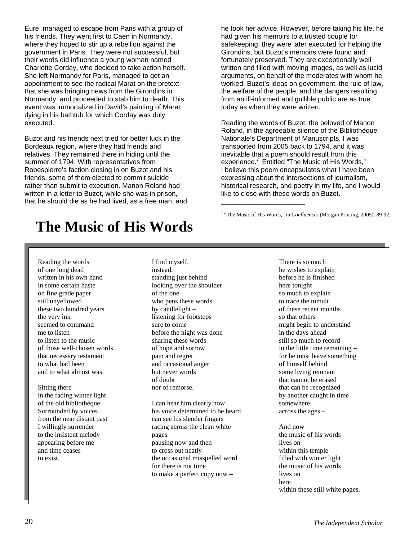Eure, managed to escape from Paris with a group of his friends. They went first to Caen in Normandy, where they hoped to stir up a rebellion against the government in Paris. They were not successful, b ut their words did influence a young woman named Charlotte Corday, who decided to take action hers elf. She left Normandy for Paris, managed to get an appointment to see the radical Marat on the pretext that she was bringing news from the Girondins i n Normandy, and proceeded to stab him to death. This event was immortalized in David's painting of Marat dying in his bathtub for which Corday was duly executed.

Buzot and his friends next tried for better luck in the rather than submit to execution. Manon Roland had written in a letter to Buzot, while she was in prison, that he should die as he had lived, as a free man, and Bordeaux region, where they had friends and relatives. They remained there in hiding until the summer of 1794. With representatives from Robespierre's faction closing in on Buzot and his friends, some of them elected to commit suicide

he took her advice. However, before taking his life, he had given his memoirs to a trusted couple for safekeeping; they were later executed for helping the Girondins, but Buzot's memoirs were found and fortunately preserved. They are exceptionally well written and filled with moving images, as well as lucid arguments, on behalf of the moderates with whom he worked. Buzot's ideas on government, the rule of law, the welfare of the people, and the dangers resulting from an ill-informed and gullible public are as true today as when they were written.

Reading the words of Buzot, the beloved of Manon Roland, in the agreeable silence of the Bibliothèque Nationale's Department of Manuscripts, I was transported from 2005 back to 1794, and it was inevitable that a poem should result from this experience.<sup>7</sup> Entitled "The Music of His Words," I believe this poem encapsulates what I have been expressing about the intersections of journalism, historical research, and poetry in my life, and I would like to close with these words on Buzot.

<sup>7</sup> "The Music of His Words," in *Confluences* (Morgan Printing, 2005): 89-92.

\_\_\_\_\_\_\_\_\_\_\_\_\_\_\_\_\_\_\_\_\_\_

### **The Music of His Words**

Reading the words of one long dead written in his own hand in some certain haste on fine grade paper still unyellowed these two hundred years the very ink seemed to command me to listen – to listen to the music of those well-chosen words that necessary testament to what had been and to what almost was.

Sitting there in the fading winter light of the old bibliothèque Surrounded by voices from the near distant past I willingly surrender to the insistent melody appearing before me and time ceases to exist.

I find myself, instead, standing just behind looking over the shoulder of the one who pens these words by candlelight – listening for footsteps sure to come before the night was done – sharing these words of hope and sorrow pain and regret and occasional anger but never words of doubt nor of remorse.

I can hear him clearly now his voice determined to be heard can see his slender fingers racing across the clean white pages pausing now and then to cross out neatly the occasional misspelled word for there is not time to make a perfect copy now –

There is so much he wishes to explain before he is finished here tonight so much to explain to trace the tumult of these recent months so that others might begin to understand in the days ahead still so much to record in the little time remaining – for he must leave something of himself behind some living remnant that cannot be erased that can be recognized by another caught in time somewhere across the ages –

And now the music of his words lives on within this temple filled with winter light the music of his words lives on here within these still white pages.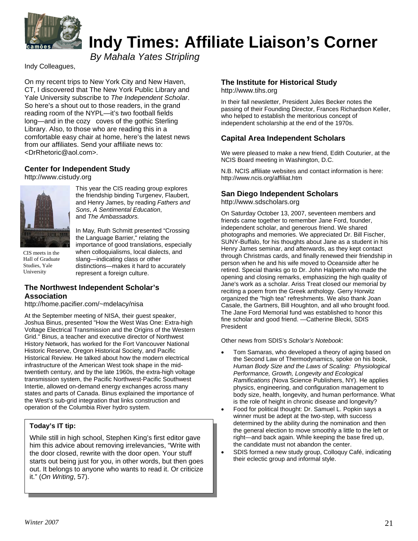

### **Indy Times: Affiliate Liaison's Corner**

*By Mahala Yates Stripling*

Indy Colleagues,

On my recent trips to New York City and New Haven, CT, I discovered that The New York Public Library and Yale University subscribe to *The Independent Scholar*. So here's a shout out to those readers, in the grand reading room of the NYPL—it's two football fields long—and in the cozy coves of the gothic Sterling Library. Also, to those who are reading this in a comfortable easy chair at home, here's the latest news from our affiliates. Send your affiliate news to: <DrRhetoric@aol.com>.

#### **Center for Independent Study**

http://www.cistudy.org



This year the CIS reading group explores the friendship binding Turgenev, Flaubert, and Henry James, by reading *Fathers and Sons*, *A Sentimental Education*, and *The Ambassadors.* 

CIS meets in the Hall of Graduate Studies, Yale University

In May*,* Ruth Schmitt presented "Crossing the Language Barrier," relating the importance of good translations, especially when colloquialisms, local dialects, and slang—indicating class or other distinctions—makes it hard to accurately represent a foreign culture.

#### **The Northwest Independent Scholar's Association**

<http://home.pacifier.com/~mdelacy/nisa>

At the September meeting of NISA, their guest speaker, Joshua Binus, presented "How the West Was One: Extra-high Voltage Electrical Transmission and the Origins of the Western Grid." Binus, a teacher and executive director of Northwest History Network, has worked for the Fort Vancouver National Historic Reserve, Oregon Historical Society, and Pacific Historical Review. He talked about how the modern electrical infrastructure of the American West took shape in the midtwentieth century, and by the late 1960s, the extra-high voltage transmission system, the Pacific Northwest-Pacific Southwest Intertie, allowed on-demand energy exchanges across many states and parts of Canada. Binus explained the importance of the West's sub-grid integration that links construction and operation of the Columbia River hydro system.

#### **Today's IT tip:**

While still in high school, Stephen King's first editor gave him this advice about removing irrelevancies, "Write with the door closed, rewrite with the door open. Your stuff starts out being just for you, in other words, but then goes out. It belongs to anyone who wants to read it. Or criticize it." (*On Writing*, 57).

### **The Institute for Historical Study**

[http://www.tihs.org](http://www.tihs.org/)

In their fall newsletter, President Jules Becker notes the passing of their Founding Director, Frances Richardson Keller, who helped to establish the meritorious concept of independent scholarship at the end of the 1970s.

#### **Capital Area Independent Scholars**

We were pleased to make a new friend, Edith Couturier, at the NCIS Board meeting in Washington, D.C.

N.B. NCIS affiliate websites and contact information is here: <http://www.ncis.org/affiliat.htm>

#### **San Diego Independent Scholars**

http://www.sdscholars.org

On Saturday October 13, 2007, seventeen members and friends came together to remember Jane Ford, founder, independent scholar, and generous friend. We shared photographs and memories. We appreciated Dr. Bill Fischer, SUNY-Buffalo, for his thoughts about Jane as a student in his Henry James seminar, and afterwards, as they kept contact through Christmas cards, and finally renewed their friendship in person when he and his wife moved to Oceanside after he retired. Special thanks go to Dr. John Halperin who made the opening and closing remarks, emphasizing the high quality of Jane's work as a scholar. Ariss Treat closed our memorial by reciting a poem from the Greek anthology. Gerry Horwitz organized the "high tea" refreshments. We also thank Joan Casale, the Gartners, Bill Houghton, and all who brought food. The Jane Ford Memorial fund was established to honor this fine scholar and good friend. —Catherine Blecki, SDIS President

Other news from SDIS's *Scholar's Notebook*:

- Tom Samaras, who developed a theory of aging based on the Second Law of Thermodynamics, spoke on his book, *Human Body Size and the Laws of Scaling: Physiological Performance, Growth, Longevity and Ecological Ramifications (*Nova Science Publishers, NY). He applies physics, engineering, and configuration management to body size, health, longevity, and human performance. What is the role of height in chronic disease and longevity?
- Food for political thought: Dr. Samuel L. Popkin says a winner must be adept at the two-step, with success determined by the ability during the nomination and then the general election to move smoothly a little to the left or right—and back again. While keeping the base fired up, the candidate must not abandon the center.
- SDIS formed a new study group, Colloquy Café, indicating their eclectic group and informal style.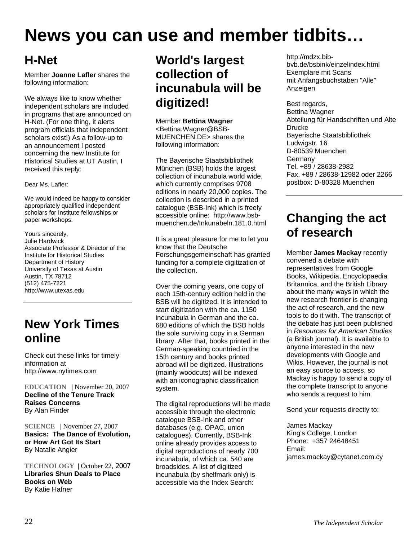## **News you can use and member tidbits…**

### **H-Net**

Member **Joanne Lafler** shares the following information:

We always like to know whether independent scholars are included in programs that are announced on H-Net. (For one thing, it alerts program officials that independent scholars exist!) As a follow-up to an announcement I posted concerning the new Institute for Historical Studies at UT Austin, I received this reply:

Dear Ms. Lafler:

We would indeed be happy to consider appropriately qualified independent scholars for Institute fellowships or paper workshops.

Yours sincerely, Julie Hardwick Associate Professor & Director of the Institute for Historical Studies Department of History University of Texas at Austin Austin, TX 78712 (512) 475-7221 http://www.utexas.edu

### **New York Times online**

Check out these links for timely information at http://www.nytimes.com

**EDUCATION** | November 20, 2007 **Decline of the Tenure Track Raises Concerns**  By Alan Finder

**SCIENCE** | November 27, 2007 **[Basics: The Dance of Evolution,](http://www.nytimes.com/2007/11/27/science/27angi.html?ex=1196830800&en=443f68340d998b85&ei=5070&emc=eta1)  [or How Art Got Its Start](http://www.nytimes.com/2007/11/27/science/27angi.html?ex=1196830800&en=443f68340d998b85&ei=5070&emc=eta1)**  By Natalie Angier

**TECHNOLOGY |** October 22, 2007 **[Libraries Shun Deals to Place](http://www.nytimes.com/2007/10/22/technology/22library.html?ex=1193716800&en=abc109c23daee1fe&ei=5070&emc=eta1)  [Books on Web](http://www.nytimes.com/2007/10/22/technology/22library.html?ex=1193716800&en=abc109c23daee1fe&ei=5070&emc=eta1)** By Katie Hafner

### **World's largest collection of incunabula will be digitized!**

Member **Bettina Wagner**  <Bettina.Wagner@BSB-MUENCHEN.DE> shares the following information:

The Bayerische Staatsbibliothek München (BSB) holds the largest collection of incunabula world wide, which currently comprises 9708 editions in nearly 20,000 copies. The collection is described in a printed catalogue (BSB-Ink) which is freely accessible online: [http://www.bsb](http://www.bsb-muenchen.de/Inkunabeln.181.0.html)[muenchen.de/Inkunabeln.181.0.html](http://www.bsb-muenchen.de/Inkunabeln.181.0.html)

It is a great pleasure for me to let you know that the Deutsche Forschungsgemeinschaft has granted funding for a complete digitization of the collection.

Over the coming years, one copy of each 15th-century edition held in the BSB will be digitized. It is intended to start digitization with the ca. 1150 incunabula in German and the ca. 680 editions of which the BSB holds the sole surviving copy in a German library. After that, books printed in the German-speaking countried in the 15th century and books printed abroad will be digitized. Illustrations (mainly woodcuts) will be indexed with an iconographic classification system.

The digital reproductions will be made accessible through the electronic catalogue BSB-Ink and other databases (e.g. OPAC, union catalogues). Currently, BSB-Ink online already provides access to digital reproductions of nearly 700 incunabula, of which ca. 540 are broadsides. A list of digitized incunabula (by shelfmark only) is accessible via the Index Search:

[http://mdzx.bib](http://mdzx.bib-bvb.de/bsbink/einzelindex.html)[bvb.de/bsbink/einzelindex.html](http://mdzx.bib-bvb.de/bsbink/einzelindex.html) Exemplare mit Scans mit Anfangsbuchstaben "Alle" Anzeigen

Best regards, Bettina Wagner Abteilung für Handschriften und Alte Drucke Bayerische Staatsbibliothek Ludwigstr. 16 D-80539 Muenchen Germany Tel. +89 / 28638-2982 Fax. +89 / 28638-12982 oder 2266 postbox: D-80328 Muenchen

### **Changing the act of research**

Member **James Mackay** recently convened a debate with representatives from Google Books, Wikipedia, Encyclopaedia Britannica, and the British Library about the many ways in which the new research frontier is changing the act of research, and the new tools to do it with. The transcript of the debate has just been published in *Resources for American Studies* (a British journal). It is available to anyone interested in the new developments with Google and Wikis. However, the journal is not an easy source to access, so Mackay is happy to send a copy of the complete transcript to anyone who sends a request to him.

Send your requests directly to:

James Mackay King's College, London Phone: +357 24648451 Email: james.mackay@cytanet.com.cy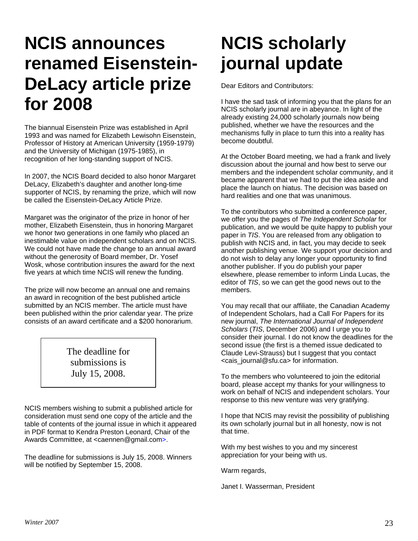## **NCIS announces renamed Eisenstein-DeLacy article prize for 2008**

The biannual Eisenstein Prize was established in April 1993 and was named for Elizabeth Lewisohn Eisenstein, Professor of History at American University (1959-1979) and the University of Michigan (1975-1985), in recognition of her long-standing support of NCIS.

In 2007, the NCIS Board decided to also honor Margaret DeLacy, Elizabeth's daughter and another long-time supporter of NCIS, by renaming the prize, which will now be called the Eisenstein-DeLacy Article Prize.

Margaret was the originator of the prize in honor of her mother, Elizabeth Eisenstein, thus in honoring Margaret we honor two generations in one family who placed an inestimable value on independent scholars and on NCIS. We could not have made the change to an annual award without the generosity of Board member, Dr. Yosef Wosk, whose contribution insures the award for the next five years at which time NCIS will renew the funding.

The prize will now become an annual one and remains an award in recognition of the best published article submitted by an NCIS member. The article must have been published within the prior calendar year. The prize consists of an award certificate and a \$200 honorarium.

> The deadline for submissions is July 15, 2008.

NCIS members wishing to submit a published article for consideration must send one copy of the article and the table of contents of the journal issue in which it appeared in PDF format to Kendra Preston Leonard, Chair of the Awards Committee, at [<caennen@gmail.com>](mailto:caennen@gmail.com).

The deadline for submissions is July 15, 2008. Winners will be notified by September 15, 2008.

## **NCIS scholarly journal update**

Dear Editors and Contributors:

I have the sad task of informing you that the plans for an NCIS scholarly journal are in abeyance. In light of the already existing 24,000 scholarly journals now being published, whether we have the resources and the mechanisms fully in place to turn this into a reality has become doubtful.

At the October Board meeting, we had a frank and lively discussion about the journal and how best to serve our members and the independent scholar community, and it became apparent that we had to put the idea aside and place the launch on hiatus. The decision was based on hard realities and one that was unanimous.

To the contributors who submitted a conference paper, we offer you the pages of *The Independent Scholar* for publication, and we would be quite happy to publish your paper in *TIS*. You are released from any obligation to publish with NCIS and, in fact, you may decide to seek another publishing venue. We support your decision and do not wish to delay any longer your opportunity to find another publisher. If you do publish your paper elsewhere, please remember to inform Linda Lucas, the editor of *TIS*, so we can get the good news out to the members.

You may recall that our affiliate, the Canadian Academy of Independent Scholars, had a Call For Papers for its new journal, *The International Journal of Independent Scholars* (*TIS*, December 2006) and I urge you to consider their journal. I do not know the deadlines for the second issue (the first is a themed issue dedicated to Claude Levi-Strauss) but I suggest that you contact <cais\_journal@sfu.ca> for information.

To the members who volunteered to join the editorial board, please accept my thanks for your willingness to work on behalf of NCIS and independent scholars. Your response to this new venture was very gratifying.

I hope that NCIS may revisit the possibility of publishing its own scholarly journal but in all honesty, now is not that time.

With my best wishes to you and my sincerest appreciation for your being with us.

Warm regards,

Janet I. Wasserman, President